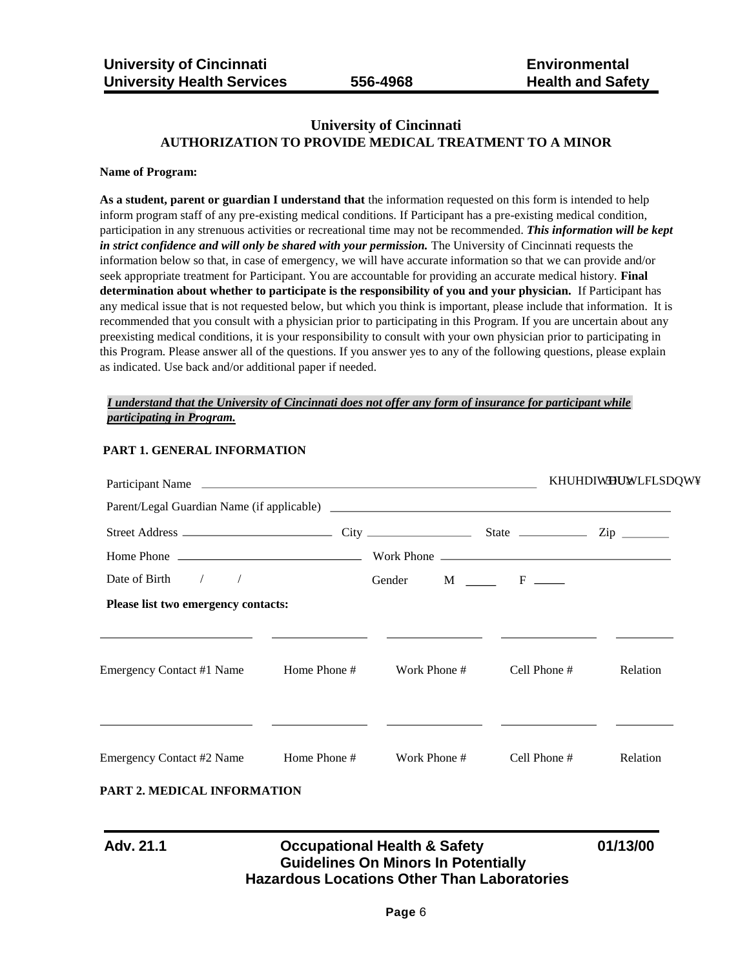# **University of Cincinnati AUTHORIZATION TO PROVIDE MEDICAL TREATMENT TO A MINOR**

#### **Name of Program:**

**As a student, parent or guardian I understand that** the information requested on this form is intended to help inform program staff of any pre-existing medical conditions. If Participant has a pre-existing medical condition, participation in any strenuous activities or recreational time may not be recommended. *This information will be kept in strict confidence and will only be shared with your permission.* The University of Cincinnati requests the information below so that, in case of emergency, we will have accurate information so that we can provide and/or seek appropriate treatment for Participant. You are accountable for providing an accurate medical history. **Final determination about whether to participate is the responsibility of you and your physician.** If Participant has any medical issue that is not requested below, but which you think is important, please include that information. It is recommended that you consult with a physician prior to participating in this Program. If you are uncertain about any preexisting medical conditions, it is your responsibility to consult with your own physician prior to participating in this Program. Please answer all of the questions. If you answer yes to any of the following questions, please explain as indicated. Use back and/or additional paper if needed.

## *I understand that the University of Cincinnati does not offer any form of insurance for participant while participating in Program.*

| Participant Name                           |              | <b>KUHDIWHEWWLFLSDW</b> |              |          |
|--------------------------------------------|--------------|-------------------------|--------------|----------|
| Parent/Legal Guardian Name (if applicable) |              |                         |              |          |
|                                            |              |                         |              |          |
|                                            |              |                         |              |          |
| Date of Birth $\frac{1}{2}$                |              | Gender M F              |              |          |
| Please list two emergency contacts:        |              |                         |              |          |
|                                            |              |                         |              |          |
| Emergency Contact #1 Name                  | Home Phone # | Work Phone #            | Cell Phone # | Relation |
|                                            |              |                         |              |          |
| Emergency Contact #2 Name                  | Home Phone # | Work Phone #            | Cell Phone # | Relation |

# **PART 1. GENERAL INFORMATION**

## **PART 2. MEDICAL INFORMATION**

# **Adv. 21.1 Occupational Health & Safety 01/13/00 Guidelines On Minors In Potentially Hazardous Locations Other Than Laboratories**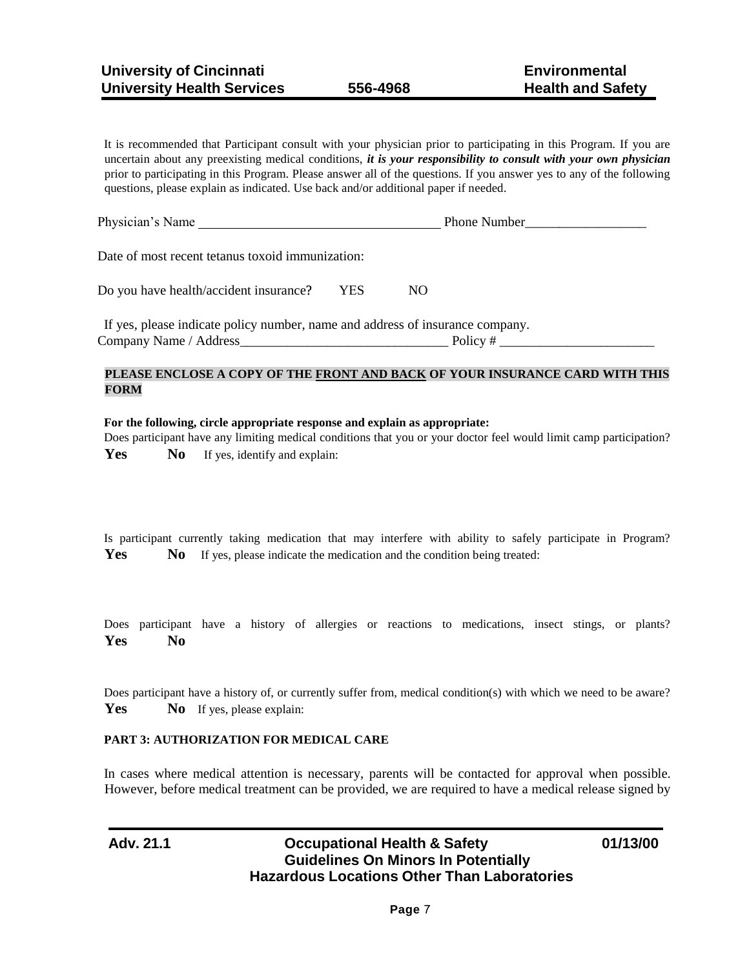It is recommended that Participant consult with your physician prior to participating in this Program. If you are uncertain about any preexisting medical conditions, *it is your responsibility to consult with your own physician*  prior to participating in this Program. Please answer all of the questions. If you answer yes to any of the following questions, please explain as indicated. Use back and/or additional paper if needed.

| Physician's Name                                                              |            | Phone Number |  |
|-------------------------------------------------------------------------------|------------|--------------|--|
| Date of most recent tetanus toxoid immunization:                              |            |              |  |
| Do you have health/accident insurance?                                        | <b>YES</b> | NO.          |  |
| If yes, please indicate policy number, name and address of insurance company. |            |              |  |
| Company Name / Address                                                        |            |              |  |

## **PLEASE ENCLOSE A COPY OF THE FRONT AND BACK OF YOUR INSURANCE CARD WITH THIS FORM**

#### **For the following, circle appropriate response and explain as appropriate:**

Does participant have any limiting medical conditions that you or your doctor feel would limit camp participation? **Yes** No If yes, identify and explain:

Is participant currently taking medication that may interfere with ability to safely participate in Program? **Yes** No If yes, please indicate the medication and the condition being treated:

Does participant have a history of allergies or reactions to medications, insect stings, or plants? **Yes No** 

Does participant have a history of, or currently suffer from, medical condition(s) with which we need to be aware? Yes No If yes, please explain:

### **PART 3: AUTHORIZATION FOR MEDICAL CARE**

In cases where medical attention is necessary, parents will be contacted for approval when possible. However, before medical treatment can be provided, we are required to have a medical release signed by

**Adv. 21.1 Occupational Health & Safety 01/13/00 Guidelines On Minors In Potentially Hazardous Locations Other Than Laboratories**